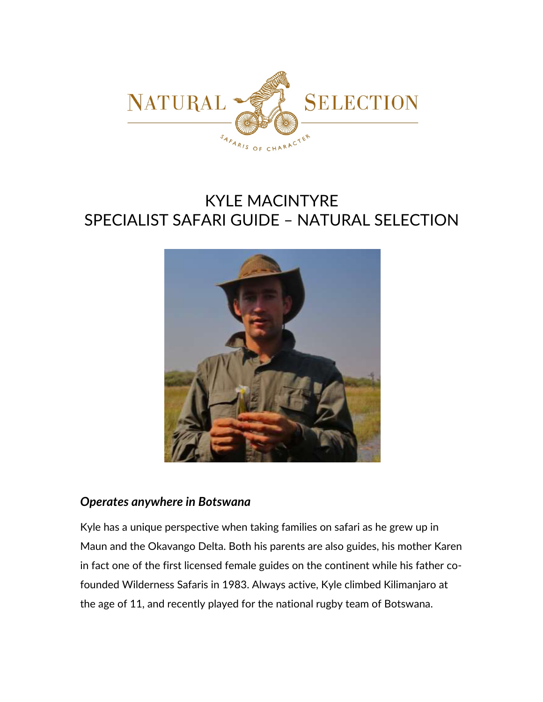

# KYLE MACINTYRE SPECIALIST SAFARI GUIDE – NATURAL SELECTION



#### *Operates anywhere in Botswana*

Kyle has a unique perspective when taking families on safari as he grew up in Maun and the Okavango Delta. Both his parents are also guides, his mother Karen in fact one of the first licensed female guides on the continent while his father cofounded Wilderness Safaris in 1983. Always active, Kyle climbed Kilimanjaro at the age of 11, and recently played for the national rugby team of Botswana.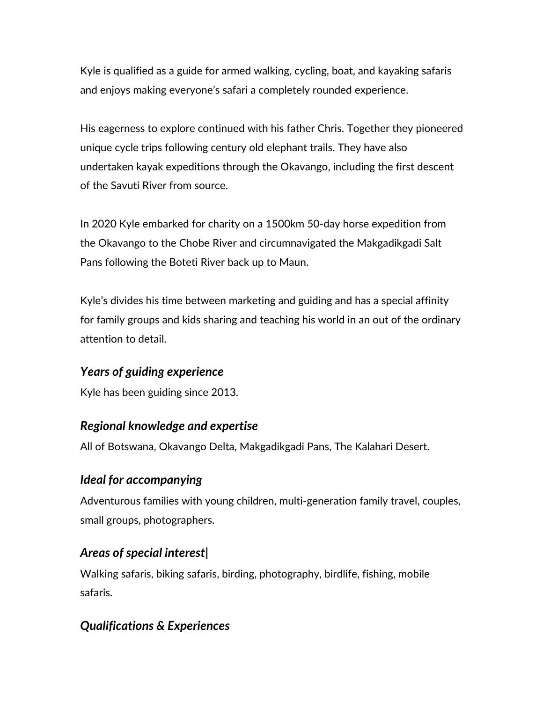Kyle is qualified as a guide for armed walking, cycling, boat, and kayaking safaris and enjoys making everyone's safari a completely rounded experience.

His eagerness to explore continued with his father Chris. Together they pioneered unique cycle trips following century old elephant trails. They have also undertaken kayak expeditions through the Okavango, including the first descent of the Savuti River from source.

In 2020 Kyle embarked for charity on a 1500km 50-day horse expedition from the Okavango to the Chobe River and circumnavigated the Makgadikgadi Salt Pans following the Boteti River back up to Maun.

Kyle's divides his time between marketing and guiding and has a special affinity for family groups and kids sharing and teaching his world in an out of the ordinary attention to detail.

## *Years of guiding experience*

Kyle has been guiding since 2013.

## *Regional knowledge and expertise*

All of Botswana, Okavango Delta, Makgadikgadi Pans, The Kalahari Desert.

## *Ideal for accompanying*

Adventurous families with young children, multi-generation family travel, couples, small groups, photographers.

## *Areas of special interest|*

Walking safaris, biking safaris, birding, photography, birdlife, fishing, mobile safaris.

## *Qualifications & Experiences*